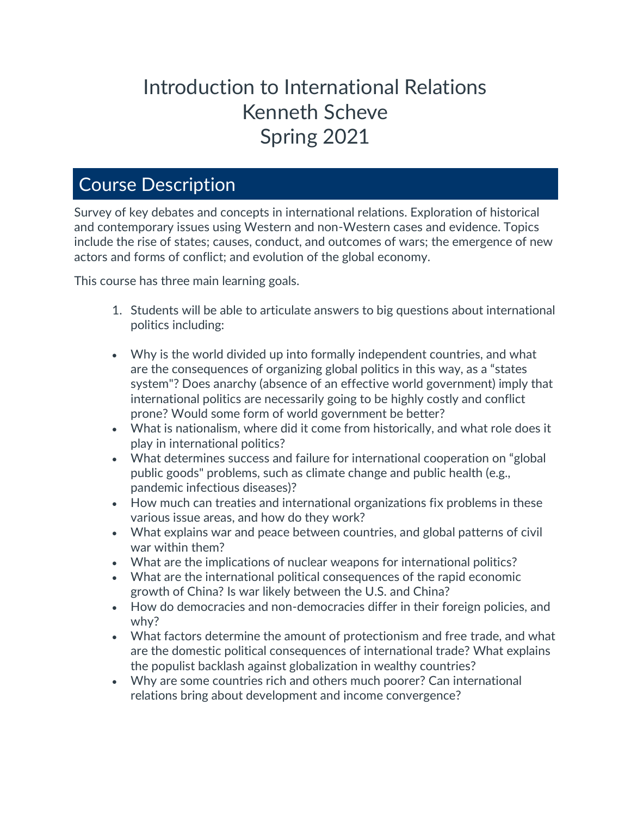# Introduction to International Relations Kenneth Scheve Spring 2021

# Course Description

Survey of key debates and concepts in international relations. Exploration of historical and contemporary issues using Western and non-Western cases and evidence. Topics include the rise of states; causes, conduct, and outcomes of wars; the emergence of new actors and forms of conflict; and evolution of the global economy.

This course has three main learning goals.

- 1. Students will be able to articulate answers to big questions about international politics including:
- Why is the world divided up into formally independent countries, and what are the consequences of organizing global politics in this way, as a "states system"? Does anarchy (absence of an effective world government) imply that international politics are necessarily going to be highly costly and conflict prone? Would some form of world government be better?
- What is nationalism, where did it come from historically, and what role does it play in international politics?
- What determines success and failure for international cooperation on "global public goods" problems, such as climate change and public health (e.g., pandemic infectious diseases)?
- How much can treaties and international organizations fix problems in these various issue areas, and how do they work?
- What explains war and peace between countries, and global patterns of civil war within them?
- What are the implications of nuclear weapons for international politics?
- What are the international political consequences of the rapid economic growth of China? Is war likely between the U.S. and China?
- How do democracies and non-democracies differ in their foreign policies, and why?
- What factors determine the amount of protectionism and free trade, and what are the domestic political consequences of international trade? What explains the populist backlash against globalization in wealthy countries?
- Why are some countries rich and others much poorer? Can international relations bring about development and income convergence?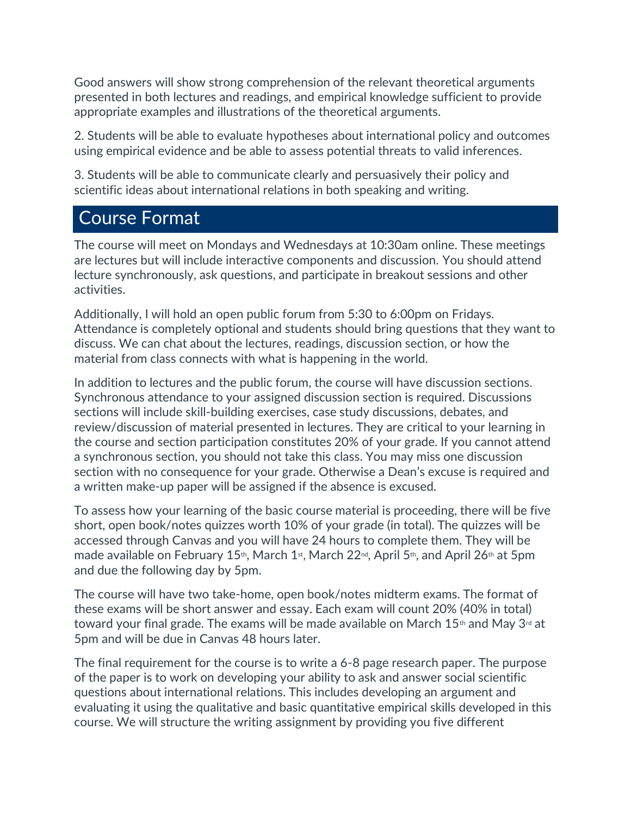Good answers will show strong comprehension of the relevant theoretical arguments presented in both lectures and readings, and empirical knowledge sufficient to provide appropriate examples and illustrations of the theoretical arguments.

2. Students will be able to evaluate hypotheses about international policy and outcomes using empirical evidence and be able to assess potential threats to valid inferences.

3. Students will be able to communicate clearly and persuasively their policy and scientific ideas about international relations in both speaking and writing.

# Course Format

The course will meet on Mondays and Wednesdays at 10:30am online. These meetings are lectures but will include interactive components and discussion. You should attend lecture synchronously, ask questions, and participate in breakout sessions and other activities.

Additionally, I will hold an open public forum from 5:30 to 6:00pm on Fridays. Attendance is completely optional and students should bring questions that they want to discuss. We can chat about the lectures, readings, discussion section, or how the material from class connects with what is happening in the world.

In addition to lectures and the public forum, the course will have discussion sections. Synchronous attendance to your assigned discussion section is required. Discussions sections will include skill-building exercises, case study discussions, debates, and review/discussion of material presented in lectures. They are critical to your learning in the course and section participation constitutes 20% of your grade. If you cannot attend a synchronous section, you should not take this class. You may miss one discussion section with no consequence for your grade. Otherwise a Dean's excuse is required and a written make-up paper will be assigned if the absence is excused.

To assess how your learning of the basic course material is proceeding, there will be five short, open book/notes quizzes worth 10% of your grade (in total). The quizzes will be accessed through Canvas and you will have 24 hours to complete them. They will be made available on February 15<sup>th</sup>, March 1<sup>st</sup>, March 22<sup>nd</sup>, April 5<sup>th</sup>, and April 26<sup>th</sup> at 5pm and due the following day by 5pm.

The course will have two take-home, open book/notes midterm exams. The format of these exams will be short answer and essay. Each exam will count 20% (40% in total) toward your final grade. The exams will be made available on March 15<sup>th</sup> and May 3<sup>rd</sup> at 5pm and will be due in Canvas 48 hours later.

The final requirement for the course is to write a 6-8 page research paper. The purpose of the paper is to work on developing your ability to ask and answer social scientific questions about international relations. This includes developing an argument and evaluating it using the qualitative and basic quantitative empirical skills developed in this course. We will structure the writing assignment by providing you five different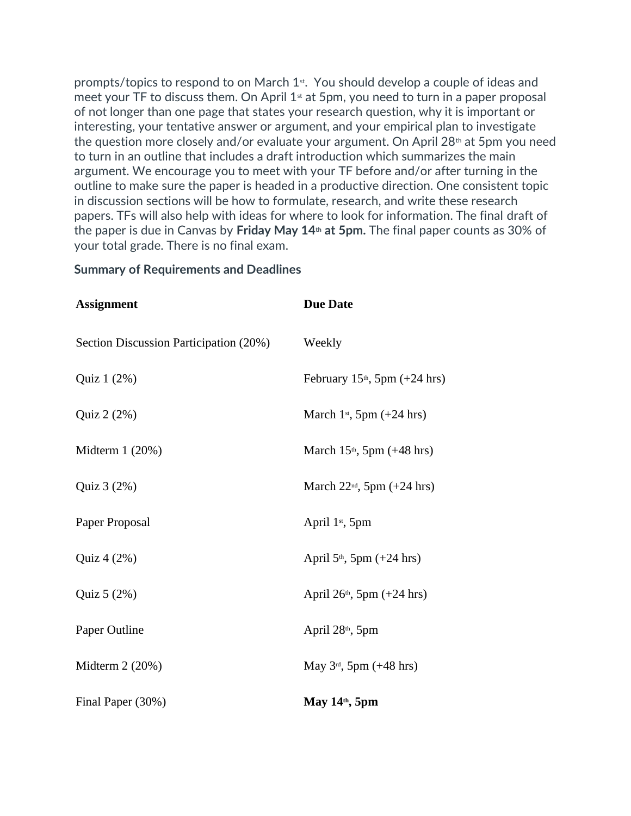prompts/topics to respond to on March 1st. You should develop a couple of ideas and meet your TF to discuss them. On April  $1<sup>st</sup>$  at 5pm, you need to turn in a paper proposal of not longer than one page that states your research question, why it is important or interesting, your tentative answer or argument, and your empirical plan to investigate the question more closely and/or evaluate your argument. On April  $28<sup>th</sup>$  at 5pm you need to turn in an outline that includes a draft introduction which summarizes the main argument. We encourage you to meet with your TF before and/or after turning in the outline to make sure the paper is headed in a productive direction. One consistent topic in discussion sections will be how to formulate, research, and write these research papers. TFs will also help with ideas for where to look for information. The final draft of the paper is due in Canvas by **Friday May 14th at 5pm.** The final paper counts as 30% of your total grade. There is no final exam.

#### **Summary of Requirements and Deadlines**

| <b>Assignment</b>                      | <b>Due Date</b>                         |
|----------------------------------------|-----------------------------------------|
| Section Discussion Participation (20%) | Weekly                                  |
| Quiz 1 (2%)                            | February $15th$ , 5pm (+24 hrs)         |
| Quiz 2 (2%)                            | March 1 <sup>st</sup> , 5pm $(+24$ hrs) |
| Midterm $1(20%)$                       | March $15th$ , 5pm (+48 hrs)            |
| Quiz 3 (2%)                            | March $22nd$ , 5pm (+24 hrs)            |
| Paper Proposal                         | April 1 <sup>st</sup> , 5pm             |
| Quiz 4 (2%)                            | April $5th$ , 5pm (+24 hrs)             |
| Quiz 5 (2%)                            | April $26th$ , 5pm (+24 hrs)            |
| Paper Outline                          | April 28 <sup>th</sup> , 5pm            |
| Midterm $2(20%)$                       | May $3^{rd}$ , 5pm (+48 hrs)            |
| Final Paper (30%)                      | May 14th, 5pm                           |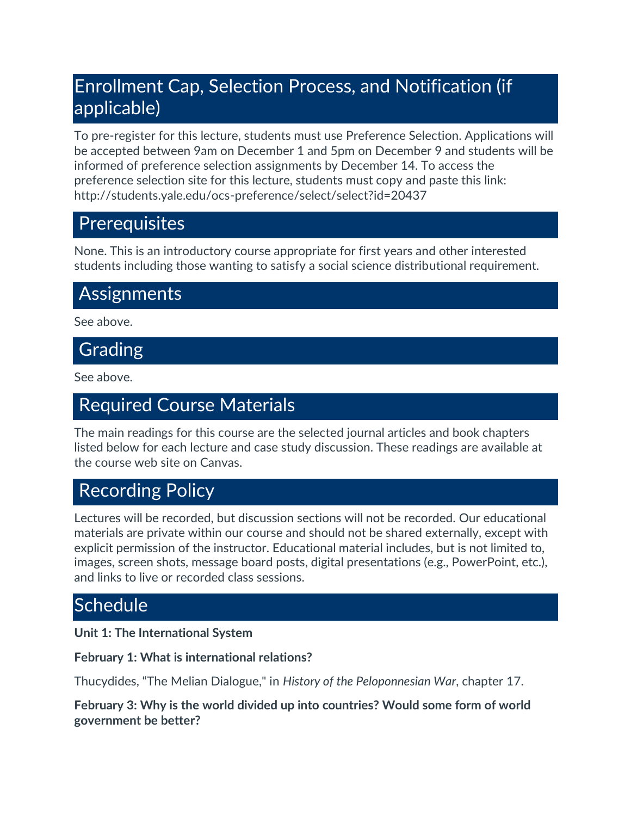# Enrollment Cap, Selection Process, and Notification (if applicable)

To pre-register for this lecture, students must use Preference Selection. Applications will be accepted between 9am on December 1 and 5pm on December 9 and students will be informed of preference selection assignments by December 14. To access the preference selection site for this lecture, students must copy and paste this link: http://students.yale.edu/ocs-preference/select/select?id=20437

# **Prerequisites**

None. This is an introductory course appropriate for first years and other interested students including those wanting to satisfy a social science distributional requirement.

# **Assignments**

See above.

# **Grading**

See above.

# Required Course Materials

The main readings for this course are the selected journal articles and book chapters listed below for each lecture and case study discussion. These readings are available at the course web site on Canvas.

# Recording Policy

Lectures will be recorded, but discussion sections will not be recorded. Our educational materials are private within our course and should not be shared externally, except with explicit permission of the instructor. Educational material includes, but is not limited to, images, screen shots, message board posts, digital presentations (e.g., PowerPoint, etc.), and links to live or recorded class sessions.

# **Schedule**

**Unit 1: The International System**

# **February 1: What is international relations?**

Thucydides, "The Melian Dialogue," in *History of the Peloponnesian War*, chapter 17.

**February 3: Why is the world divided up into countries? Would some form of world government be better?**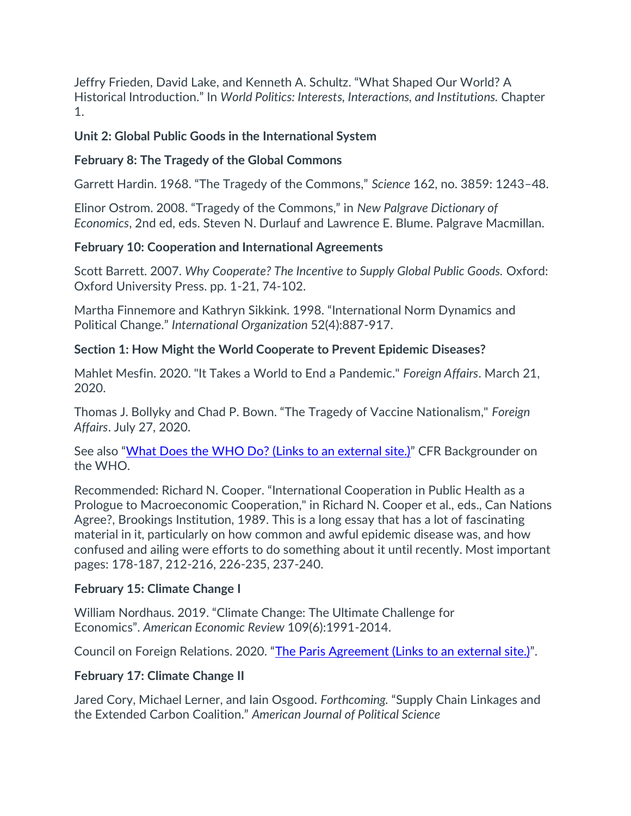Jeffry Frieden, David Lake, and Kenneth A. Schultz. "What Shaped Our World? A Historical Introduction." In *World Politics: Interests, Interactions, and Institutions.* Chapter 1.

### **Unit 2: Global Public Goods in the International System**

### **February 8: The Tragedy of the Global Commons**

Garrett Hardin. 1968. "The Tragedy of the Commons," *Science* 162, no. 3859: 1243–48.

Elinor Ostrom. 2008. "Tragedy of the Commons," in *New Palgrave Dictionary of Economics*, 2nd ed, eds. Steven N. Durlauf and Lawrence E. Blume. Palgrave Macmillan.

### **February 10: Cooperation and International Agreements**

Scott Barrett. 2007. *Why Cooperate? The Incentive to Supply Global Public Goods.* Oxford: Oxford University Press. pp. 1-21, 74-102.

Martha Finnemore and Kathryn Sikkink. 1998. "International Norm Dynamics and Political Change." *International Organization* 52(4):887-917.

### **Section 1: How Might the World Cooperate to Prevent Epidemic Diseases?**

Mahlet Mesfin. 2020. "It Takes a World to End a Pandemic." *Foreign Affairs*. March 21, 2020.

Thomas J. Bollyky and Chad P. Bown. "The Tragedy of Vaccine Nationalism," *Foreign Affairs*. July 27, 2020.

See also "[What Does the WHO Do?](https://www.cfr.org/backgrounder/what-does-world-health-organization-do) (Links to an external site.)" CFR Backgrounder on the WHO.

Recommended: Richard N. Cooper. "International Cooperation in Public Health as a Prologue to Macroeconomic Cooperation," in Richard N. Cooper et al., eds., Can Nations Agree?, Brookings Institution, 1989. This is a long essay that has a lot of fascinating material in it, particularly on how common and awful epidemic disease was, and how confused and ailing were efforts to do something about it until recently. Most important pages: 178-187, 212-216, 226-235, 237-240.

#### **February 15: Climate Change I**

William Nordhaus. 2019. "Climate Change: The Ultimate Challenge for Economics". *American Economic Review* 109(6):1991-2014.

Council on Foreign Relations. 2020. "[The Paris Agreement](https://world101.cfr.org/global-era-issues/climate-change/paris-agreement) (Links to an external site.)".

# **February 17: Climate Change II**

Jared Cory, Michael Lerner, and Iain Osgood. *Forthcoming.* "Supply Chain Linkages and the Extended Carbon Coalition." *American Journal of Political Science*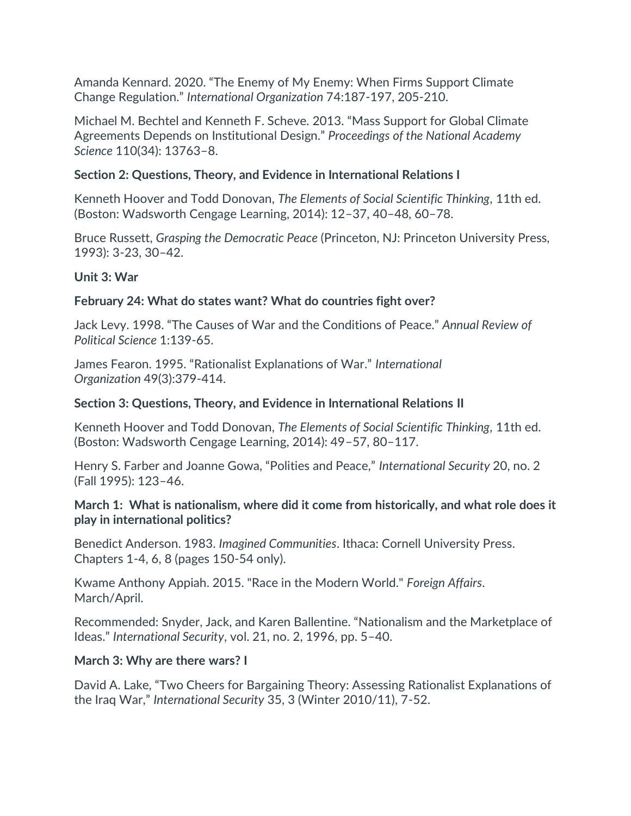Amanda Kennard. 2020. "The Enemy of My Enemy: When Firms Support Climate Change Regulation." *International Organization* 74:187-197, 205-210.

Michael M. Bechtel and Kenneth F. Scheve. 2013. "Mass Support for Global Climate Agreements Depends on Institutional Design." *Proceedings of the National Academy Science* 110(34): 13763–8.

### **Section 2: Questions, Theory, and Evidence in International Relations I**

Kenneth Hoover and Todd Donovan, *The Elements of Social Scientific Thinking*, 11th ed. (Boston: Wadsworth Cengage Learning, 2014): 12–37, 40–48, 60–78.

Bruce Russett, *Grasping the Democratic Peace* (Princeton, NJ: Princeton University Press, 1993): 3-23, 30–42.

### **Unit 3: War**

### **February 24: What do states want? What do countries fight over?**

Jack Levy. 1998. "The Causes of War and the Conditions of Peace." *Annual Review of Political Science* 1:139-65.

James Fearon. 1995. "Rationalist Explanations of War." *International Organization* 49(3):379-414.

### **Section 3: Questions, Theory, and Evidence in International Relations II**

Kenneth Hoover and Todd Donovan, *The Elements of Social Scientific Thinking*, 11th ed. (Boston: Wadsworth Cengage Learning, 2014): 49–57, 80–117.

Henry S. Farber and Joanne Gowa, "Polities and Peace," *International Security* 20, no. 2 (Fall 1995): 123–46.

### **March 1: What is nationalism, where did it come from historically, and what role does it play in international politics?**

Benedict Anderson. 1983. *Imagined Communities*. Ithaca: Cornell University Press. Chapters 1-4, 6, 8 (pages 150-54 only).

Kwame Anthony Appiah. 2015. "Race in the Modern World." *Foreign Affairs*. March/April.

Recommended: Snyder, Jack, and Karen Ballentine. "Nationalism and the Marketplace of Ideas." *International Security*, vol. 21, no. 2, 1996, pp. 5–40.

#### **March 3: Why are there wars? I**

David A. Lake, "Two Cheers for Bargaining Theory: Assessing Rationalist Explanations of the Iraq War," *International Security* 35, 3 (Winter 2010/11), 7-52.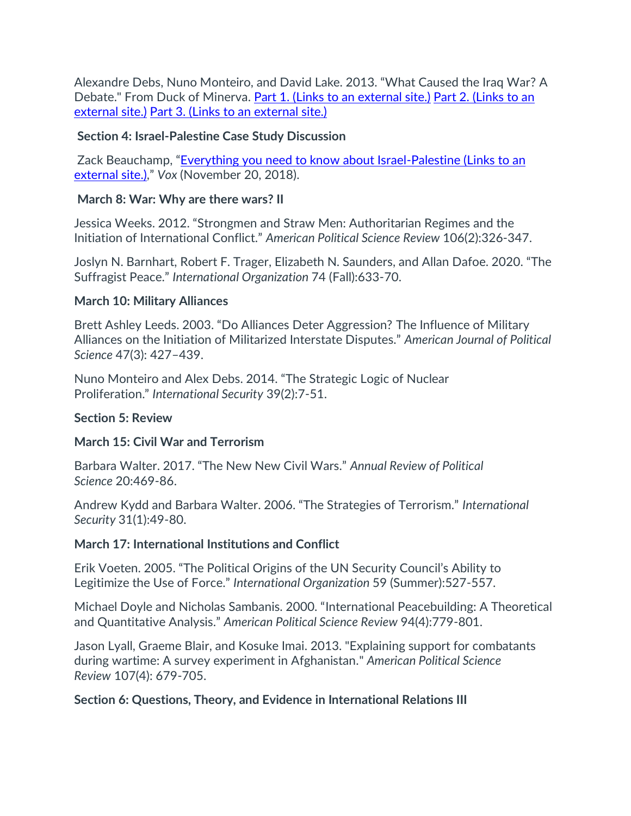Alexandre Debs, Nuno Monteiro, and David Lake. 2013. "What Caused the Iraq War? A Debate." From Duck of Minerva. Part 1. (Links to an [external](https://duckofminerva.com/2013/07/what-caused-the-iraq-war-a-debate-part-1-of-2.html#more-18632) site.) [Part 2.](https://duckofminerva.com/2013/07/what-caused-the-iraq-war-david-lake-replies-to-debs-and-monteiro.html) (Links to an [external](https://duckofminerva.com/2013/07/what-caused-the-iraq-war-david-lake-replies-to-debs-and-monteiro.html) site.) Part 3. (Links to an [external](https://duckofminerva.com/2013/08/what-caused-the-iraq-war-debs-and-monteiro-reply-to-lake.html) site.)

#### **Section 4: Israel-Palestine Case Study Discussion**

Zack Beauchamp, "[Everything you need to know about Israel-Palestine](https://www.vox.com/2018/11/20/18079996/israel-palestine-conflict-guide-explainer#share) (Links to an [external](https://www.vox.com/2018/11/20/18079996/israel-palestine-conflict-guide-explainer#share) site.)," *Vox* (November 20, 2018).

# **March 8: War: Why are there wars? II**

Jessica Weeks. 2012. "Strongmen and Straw Men: Authoritarian Regimes and the Initiation of International Conflict." *American Political Science Review* 106(2):326-347.

Joslyn N. Barnhart, Robert F. Trager, Elizabeth N. Saunders, and Allan Dafoe. 2020. "The Suffragist Peace." *International Organization* 74 (Fall):633-70.

### **March 10: Military Alliances**

Brett Ashley Leeds. 2003. "Do Alliances Deter Aggression? The Influence of Military Alliances on the Initiation of Militarized Interstate Disputes." *American Journal of Political Science* 47(3): 427–439.

Nuno Monteiro and Alex Debs. 2014. "The Strategic Logic of Nuclear Proliferation." *International Security* 39(2):7-51.

# **Section 5: Review**

# **March 15: Civil War and Terrorism**

Barbara Walter. 2017. "The New New Civil Wars." *Annual Review of Political Science* 20:469-86.

Andrew Kydd and Barbara Walter. 2006. "The Strategies of Terrorism." *International Security* 31(1):49-80.

# **March 17: International Institutions and Conflict**

Erik Voeten. 2005. "The Political Origins of the UN Security Council's Ability to Legitimize the Use of Force." *International Organization* 59 (Summer):527-557.

Michael Doyle and Nicholas Sambanis. 2000. "International Peacebuilding: A Theoretical and Quantitative Analysis." *American Political Science Review* 94(4):779-801.

Jason Lyall, Graeme Blair, and Kosuke Imai. 2013. "Explaining support for combatants during wartime: A survey experiment in Afghanistan." *American Political Science Review* 107(4): 679-705.

# **Section 6: Questions, Theory, and Evidence in International Relations III**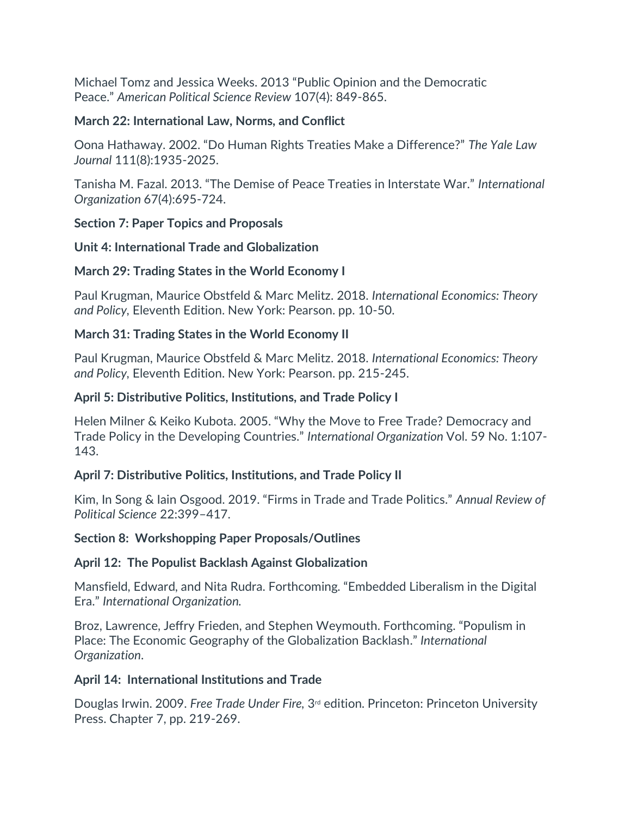Michael Tomz and Jessica Weeks. 2013 "Public Opinion and the Democratic Peace." *American Political Science Review* 107(4): 849-865.

# **March 22: International Law, Norms, and Conflict**

Oona Hathaway. 2002. "Do Human Rights Treaties Make a Difference?" *The Yale Law Journal* 111(8):1935-2025.

Tanisha M. Fazal. 2013. "The Demise of Peace Treaties in Interstate War." *International Organization* 67(4):695-724.

# **Section 7: Paper Topics and Proposals**

### **Unit 4: International Trade and Globalization**

# **March 29: Trading States in the World Economy I**

Paul Krugman, Maurice Obstfeld & Marc Melitz. 2018. *International Economics: Theory and Policy,* Eleventh Edition. New York: Pearson. pp. 10-50.

# **March 31: Trading States in the World Economy II**

Paul Krugman, Maurice Obstfeld & Marc Melitz. 2018. *International Economics: Theory and Policy,* Eleventh Edition. New York: Pearson. pp. 215-245.

### **April 5: Distributive Politics, Institutions, and Trade Policy I**

Helen Milner & Keiko Kubota. 2005. "Why the Move to Free Trade? Democracy and Trade Policy in the Developing Countries." *International Organization* Vol. 59 No. 1:107- 143.

# **April 7: Distributive Politics, Institutions, and Trade Policy II**

Kim, In Song & Iain Osgood. 2019. "Firms in Trade and Trade Politics." *Annual Review of Political Science* 22:399–417.

#### **Section 8: Workshopping Paper Proposals/Outlines**

# **April 12: The Populist Backlash Against Globalization**

Mansfield, Edward, and Nita Rudra. Forthcoming. "Embedded Liberalism in the Digital Era." *International Organization.*

Broz, Lawrence, Jeffry Frieden, and Stephen Weymouth. Forthcoming. "Populism in Place: The Economic Geography of the Globalization Backlash." *International Organization*.

#### **April 14: International Institutions and Trade**

Douglas Irwin. 2009. *Free Trade Under Fire,* 3rd edition*.* Princeton: Princeton University Press. Chapter 7, pp. 219-269.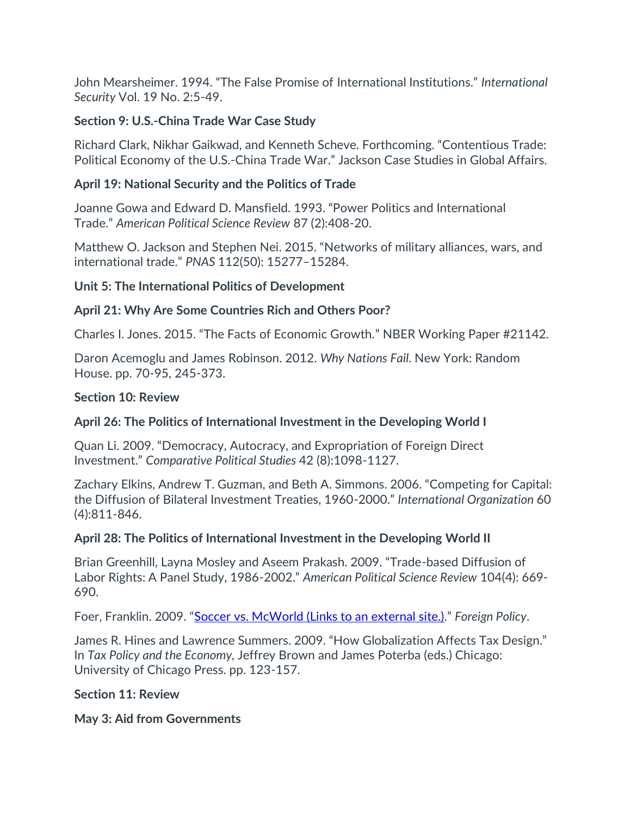John Mearsheimer. 1994. "The False Promise of International Institutions." *International Security* Vol. 19 No. 2:5-49.

# **Section 9: U.S.-China Trade War Case Study**

Richard Clark, Nikhar Gaikwad, and Kenneth Scheve. Forthcoming. "Contentious Trade: Political Economy of the U.S.-China Trade War." Jackson Case Studies in Global Affairs.

### **April 19: National Security and the Politics of Trade**

Joanne Gowa and Edward D. Mansfield. 1993. "Power Politics and International Trade." *American Political Science Review* 87 (2):408-20.

Matthew O. Jackson and Stephen Nei. 2015. "Networks of military alliances, wars, and international trade." *PNAS* 112(50): 15277–15284.

### **Unit 5: The International Politics of Development**

# **April 21: Why Are Some Countries Rich and Others Poor?**

Charles I. Jones. 2015. "The Facts of Economic Growth." NBER Working Paper #21142.

Daron Acemoglu and James Robinson. 2012. *Why Nations Fail.* New York: Random House. pp. 70-95, 245-373.

#### **Section 10: Review**

# **April 26: The Politics of International Investment in the Developing World I**

Quan Li. 2009. "Democracy, Autocracy, and Expropriation of Foreign Direct Investment." *Comparative Political Studies* 42 (8):1098-1127.

Zachary Elkins, Andrew T. Guzman, and Beth A. Simmons. 2006. "Competing for Capital: the Diffusion of Bilateral Investment Treaties, 1960-2000." *International Organization* 60 (4):811-846.

# **April 28: The Politics of International Investment in the Developing World II**

Brian Greenhill, Layna Mosley and Aseem Prakash. 2009. "Trade-based Diffusion of Labor Rights: A Panel Study, 1986-2002." *American Political Science Review* 104(4): 669- 690.

Foer, Franklin. 2009. "[Soccer vs. McWorld](https://foreignpolicy.com/2009/10/28/soccer-vs-mcworld/) (Links to an external site.)." *Foreign Policy*.

James R. Hines and Lawrence Summers. 2009. "How Globalization Affects Tax Design." In *Tax Policy and the Economy,* Jeffrey Brown and James Poterba (eds.) Chicago: University of Chicago Press. pp. 123-157.

#### **Section 11: Review**

**May 3: Aid from Governments**